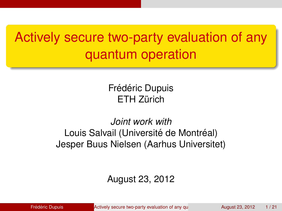# Actively secure two-party evaluation of any quantum operation

Frédéric Dupuis **FTH 7ürich** 

#### *Joint work with* Louis Salvail (Université de Montréal) Jesper Buus Nielsen (Aarhus Universitet)

#### <span id="page-0-0"></span>August 23, 2012

**Frederic Dupuis Example 23, 2012** The Actively secure two-party evaluation of any quantum operation August 23, 2012 1/21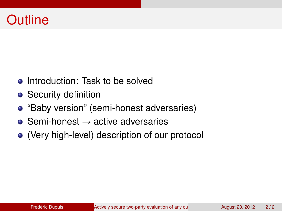### **Outline**

- Introduction: Task to be solved
- **•** Security definition
- "Baby version" (semi-honest adversaries)
- $\bullet$  Semi-honest  $\rightarrow$  active adversaries
- (Very high-level) description of our protocol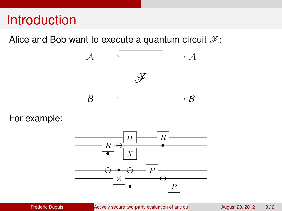#### **Introduction**

Alice and Bob want to execute a quantum circuit  $\mathcal{F}$ :



For example:

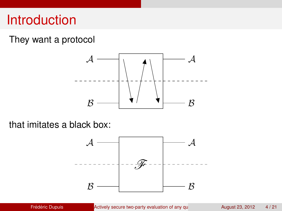#### **Introduction**

#### They want a protocol



that imitates a black box:

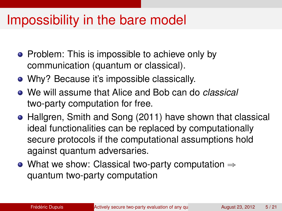## Impossibility in the bare model

- Problem: This is impossible to achieve only by communication (quantum or classical).
- Why? Because it's impossible classically.
- We will assume that Alice and Bob can do *classical* two-party computation for free.
- Hallgren, Smith and Song (2011) have shown that classical ideal functionalities can be replaced by computationally secure protocols if the computational assumptions hold against quantum adversaries.
- What we show: Classical two-party computation  $\Rightarrow$ quantum two-party computation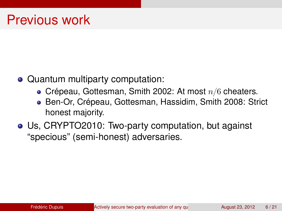- Quantum multiparty computation:
	- Crépeau, Gottesman, Smith 2002: At most  $n/6$  cheaters.
	- Ben-Or, Crépeau, Gottesman, Hassidim, Smith 2008: Strict honest majority.
- Us, CRYPTO2010: Two-party computation, but against "specious" (semi-honest) adversaries.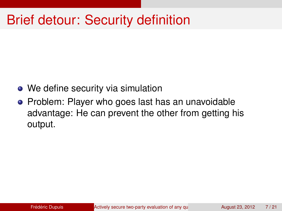# Brief detour: Security definition

- We define security via simulation
- Problem: Player who goes last has an unavoidable advantage: He can prevent the other from getting his output.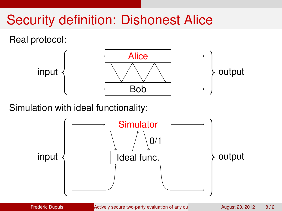# Security definition: Dishonest Alice

Real protocol:



Simulation with ideal functionality:

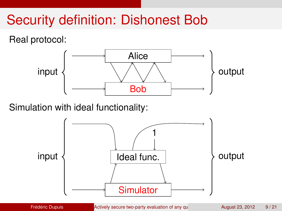# Security definition: Dishonest Bob

Real protocol:



Simulation with ideal functionality:

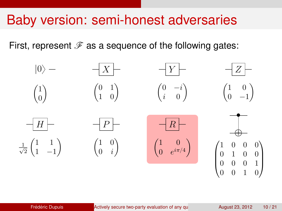### Baby version: semi-honest adversaries

First, represent  $\mathscr F$  as a sequence of the following gates:

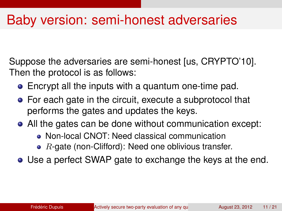### Baby version: semi-honest adversaries

Suppose the adversaries are semi-honest [us, CRYPTO'10]. Then the protocol is as follows:

- Encrypt all the inputs with a quantum one-time pad.
- For each gate in the circuit, execute a subprotocol that performs the gates and updates the keys.
- All the gates can be done without communication except:
	- Non-local CNOT: Need classical communication
	- $R$ -gate (non-Clifford): Need one oblivious transfer.
- Use a perfect SWAP gate to exchange the keys at the end.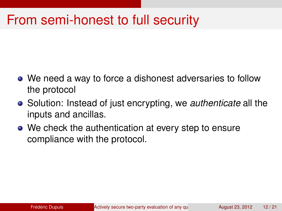### From semi-honest to full security

- We need a way to force a dishonest adversaries to follow the protocol
- Solution: Instead of just encrypting, we *authenticate* all the inputs and ancillas.
- We check the authentication at every step to ensure compliance with the protocol.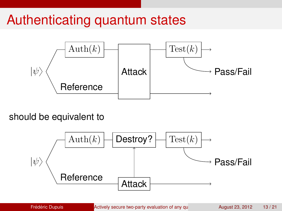# Authenticating quantum states



should be equivalent to

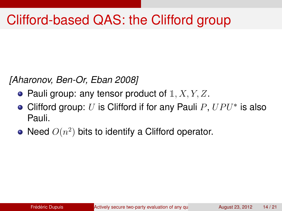# Clifford-based QAS: the Clifford group

*[Aharonov, Ben-Or, Eban 2008]*

- Pauli group: any tensor product of  $1, X, Y, Z$ .
- Clifford group:  $U$  is Clifford if for any Pauli  $P$ ,  $UPU^*$  is also Pauli.
- Need  $O(n^2)$  bits to identify a Clifford operator.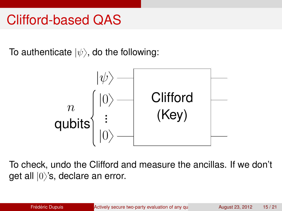#### Clifford-based QAS

To authenticate  $|\psi\rangle$ , do the following:



To check, undo the Clifford and measure the ancillas. If we don't get all  $|0\rangle$ 's, declare an error.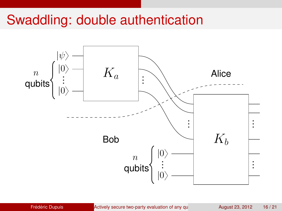### Swaddling: double authentication

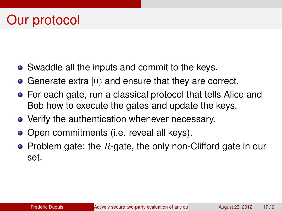- Swaddle all the inputs and commit to the keys.
- Generate extra  $|0\rangle$  and ensure that they are correct.
- For each gate, run a classical protocol that tells Alice and Bob how to execute the gates and update the keys.
- Verify the authentication whenever necessary.
- Open commitments (i.e. reveal all keys).
- Problem gate: the  $R$ -gate, the only non-Clifford gate in our set.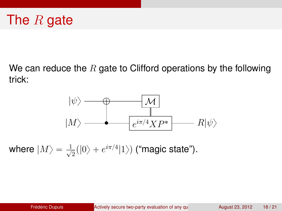We can reduce the R gate to Clifford operations by the following trick:



where  $\ket{M} = \frac{1}{\sqrt{2}}$  $\frac{1}{2}(|0\rangle+e^{i\pi/4}|1\rangle)$  ("magic state").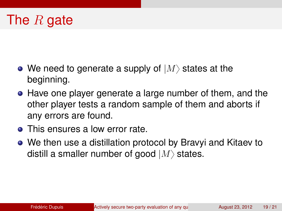### The  $R$  gate

- We need to generate a supply of  $|M\rangle$  states at the beginning.
- Have one player generate a large number of them, and the other player tests a random sample of them and aborts if any errors are found.
- This ensures a low error rate.
- We then use a distillation protocol by Bravyi and Kitaev to distill a smaller number of good  $|M\rangle$  states.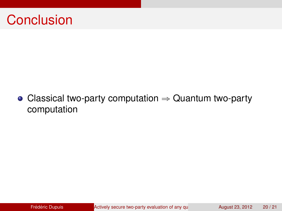

#### • Classical two-party computation  $\Rightarrow$  Quantum two-party computation